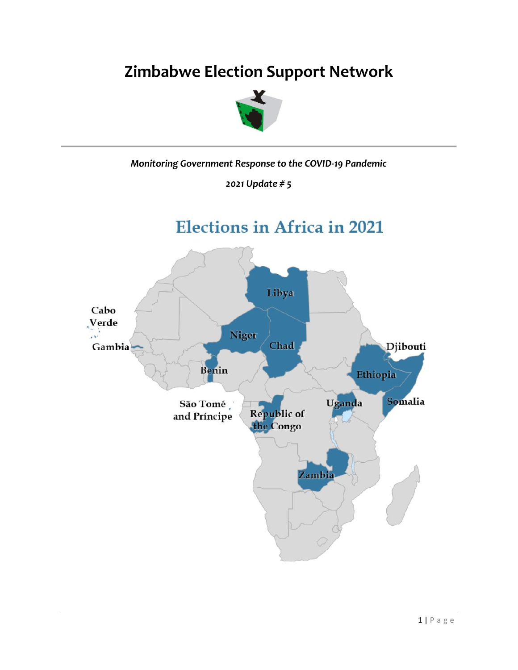# **Zimbabwe Election Support Network**



*Monitoring Government Response to the COVID-19 Pandemic*

*2021 Update # 5*

**Elections in Africa in 2021** 

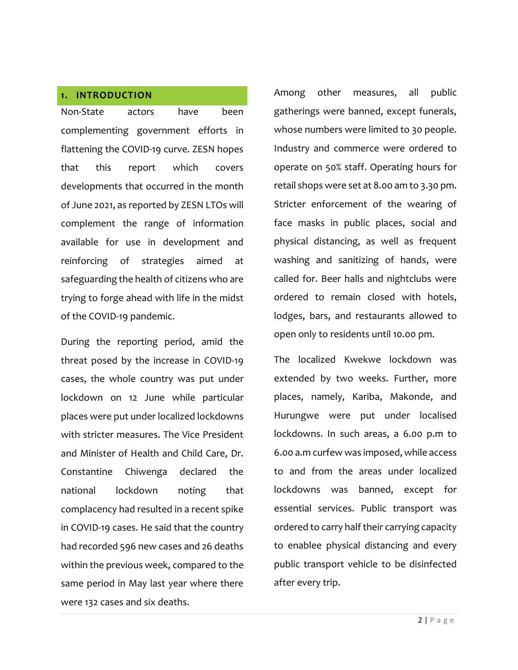#### **1. INTRODUCTION**

Non-State actors have been complementing government efforts in flattening the COVID-19 curve. ZESN hopes that this report which covers developments that occurred in the month of June 2021, as reported by ZESN LTOs will complement the range of information available for use in development and reinforcing of strategies aimed at safeguarding the health of citizens who are trying to forge ahead with life in the midst of the COVID-19 pandemic.

During the reporting period, amid the threat posed by the increase in COVID-19 cases, the whole country was put under lockdown on 12 June while particular places were put under localized lockdowns with stricter measures. The Vice President and Minister of Health and Child Care, Dr. Constantine Chiwenga declared the national lockdown noting that complacency had resulted in a recent spike in COVID-19 cases. He said that the country had recorded 596 new cases and 26 deaths within the previous week, compared to the same period in May last year where there were 132 cases and six deaths.

Among other measures, all public gatherings were banned, except funerals, whose numbers were limited to 30 people. Industry and commerce were ordered to operate on 50% staff. Operating hours for retail shops were set at 8.00 am to 3.30 pm. Stricter enforcement of the wearing of face masks in public places, social and physical distancing, as well as frequent washing and sanitizing of hands, were called for. Beer halls and nightclubs were ordered to remain closed with hotels, lodges, bars, and restaurants allowed to open only to residents until 10.00 pm.

The localized Kwekwe lockdown was extended by two weeks. Further, more places, namely, Kariba, Makonde, and Hurungwe were put under localised lockdowns. In such areas, a 6.00 p.m to 6.00 a.m curfew was imposed, while access to and from the areas under localized lockdowns was banned, except for essential services. Public transport was ordered to carry half their carrying capacity to enablee physical distancing and every public transport vehicle to be disinfected after every trip.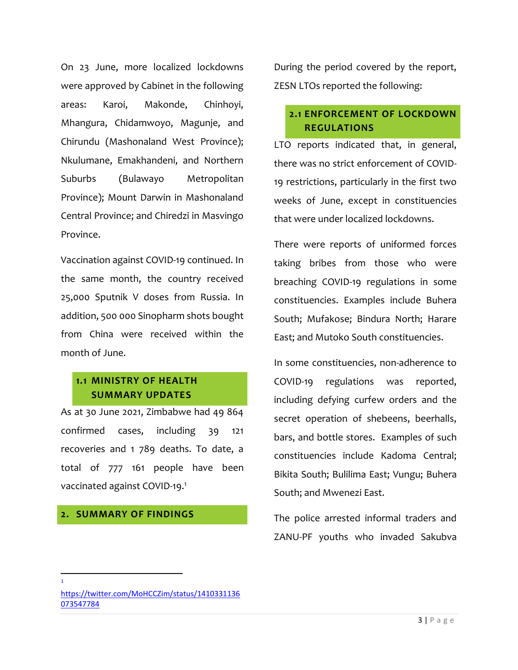On 23 June, more localized lockdowns were approved by Cabinet in the following areas: Karoi, Makonde, Chinhoyi, Mhangura, Chidamwoyo, Magunje, and Chirundu (Mashonaland West Province); Nkulumane, Emakhandeni, and Northern Suburbs (Bulawayo Metropolitan Province); Mount Darwin in Mashonaland Central Province; and Chiredzi in Masvingo Province.

Vaccination against COVID-19 continued. In the same month, the country received 25,000 Sputnik V doses from Russia. In addition, 500 000 Sinopharm shots bought from China were received within the month of June.

# **1.1 MINISTRY OF HEALTH SUMMARY UPDATES**

As at 30 June 2021, Zimbabwe had 49 864 confirmed cases, including 39 121 recoveries and 1 789 deaths. To date, a total of 777 161 people have been vaccinated against COVID-19. 1

#### **2. SUMMARY OF FINDINGS**

During the period covered by the report, ZESN LTOs reported the following:

# **2.1 ENFORCEMENT OF LOCKDOWN REGULATIONS**

LTO reports indicated that, in general, there was no strict enforcement of COVID-19 restrictions, particularly in the first two weeks of June, except in constituencies that were under localized lockdowns.

There were reports of uniformed forces taking bribes from those who were breaching COVID-19 regulations in some constituencies. Examples include Buhera South; Mufakose; Bindura North; Harare East; and Mutoko South constituencies.

In some constituencies, non-adherence to COVID-19 regulations was reported, including defying curfew orders and the secret operation of shebeens, beerhalls, bars, and bottle stores. Examples of such constituencies include Kadoma Central; Bikita South; Bulilima East; Vungu; Buhera South; and Mwenezi East.

The police arrested informal traders and ZANU-PF youths who invaded Sakubva

 $\overline{\phantom{a}}$ 1

[https://twitter.com/MoHCCZim/status/1410331136](https://twitter.com/MoHCCZim/status/1410331136073547784) [073547784](https://twitter.com/MoHCCZim/status/1410331136073547784)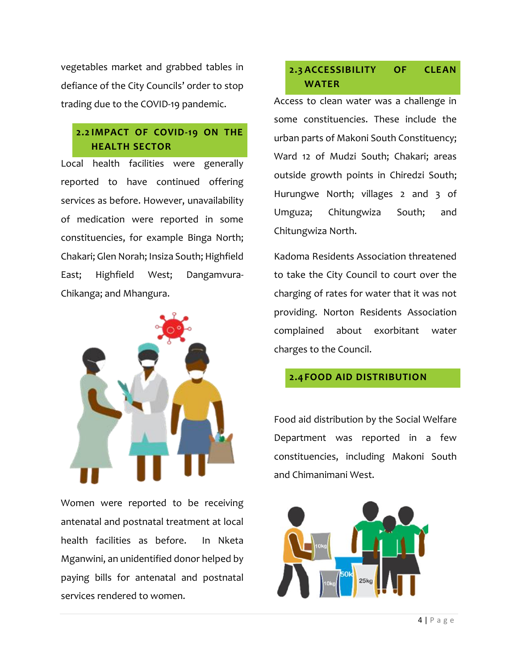vegetables market and grabbed tables in defiance of the City Councils' order to stop trading due to the COVID-19 pandemic.

# **2.2 IMPACT OF COVID-19 ON THE HEALTH SECTOR**

Local health facilities were generally reported to have continued offering services as before. However, unavailability of medication were reported in some constituencies, for example Binga North; Chakari; Glen Norah; Insiza South; Highfield East; Highfield West; Dangamvura-Chikanga; and Mhangura.



Women were reported to be receiving antenatal and postnatal treatment at local health facilities as before. In Nketa Mganwini, an unidentified donor helped by paying bills for antenatal and postnatal services rendered to women.

# **2.3 ACCESSIBILITY OF CLEAN WATER**

Access to clean water was a challenge in some constituencies. These include the urban parts of Makoni South Constituency; Ward 12 of Mudzi South; Chakari; areas outside growth points in Chiredzi South; Hurungwe North; villages 2 and 3 of Umguza; Chitungwiza South; and Chitungwiza North.

Kadoma Residents Association threatened to take the City Council to court over the charging of rates for water that it was not providing. Norton Residents Association complained about exorbitant water charges to the Council.

#### **2.4FOOD AID DISTRIBUTION**

Food aid distribution by the Social Welfare Department was reported in a few constituencies, including Makoni South and Chimanimani West.

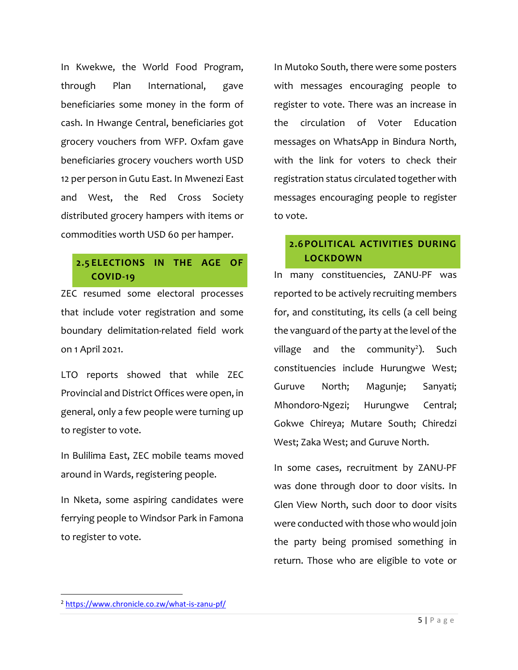In Kwekwe, the World Food Program, through Plan International, gave beneficiaries some money in the form of cash. In Hwange Central, beneficiaries got grocery vouchers from WFP. Oxfam gave beneficiaries grocery vouchers worth USD 12 per person in Gutu East. In Mwenezi East and West, the Red Cross Society distributed grocery hampers with items or commodities worth USD 60 per hamper.

# **2.5 ELECTIONS IN THE AGE OF COVID-19**

ZEC resumed some electoral processes that include voter registration and some boundary delimitation-related field work on 1 April 2021.

LTO reports showed that while ZEC Provincial and District Offices were open, in general, only a few people were turning up to register to vote.

In Bulilima East, ZEC mobile teams moved around in Wards, registering people.

In Nketa, some aspiring candidates were ferrying people to Windsor Park in Famona to register to vote.

In Mutoko South, there were some posters with messages encouraging people to register to vote. There was an increase in the circulation of Voter Education messages on WhatsApp in Bindura North, with the link for voters to check their registration status circulated together with messages encouraging people to register to vote.

#### **2.6POLITICAL ACTIVITIES DURING LOCKDOWN**

In many constituencies, ZANU-PF was reported to be actively recruiting members for, and constituting, its cells (a cell being the vanguard of the party at the level of the village and the community<sup>2</sup>). Such constituencies include Hurungwe West; Guruve North; Magunje; Sanyati; Mhondoro-Ngezi; Hurungwe Central; Gokwe Chireya; Mutare South; Chiredzi West; Zaka West; and Guruve North.

In some cases, recruitment by ZANU-PF was done through door to door visits. In Glen View North, such door to door visits were conducted with those who would join the party being promised something in return. Those who are eligible to vote or

 $\overline{\phantom{a}}$ 

<sup>2</sup> <https://www.chronicle.co.zw/what-is-zanu-pf/>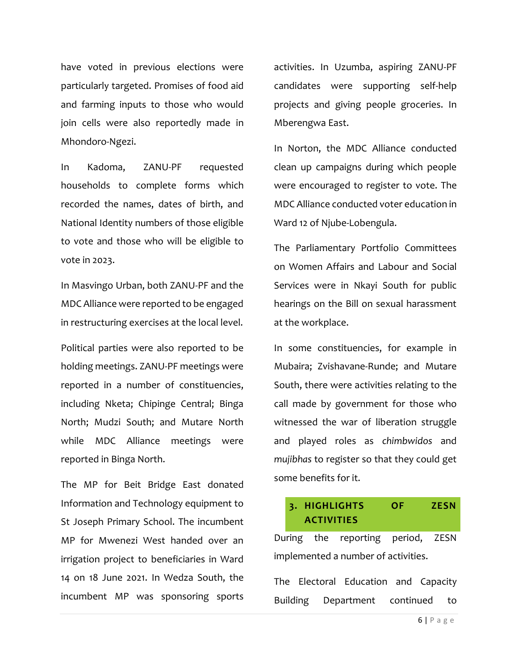have voted in previous elections were particularly targeted. Promises of food aid and farming inputs to those who would join cells were also reportedly made in Mhondoro-Ngezi.

In Kadoma, ZANU-PF requested households to complete forms which recorded the names, dates of birth, and National Identity numbers of those eligible to vote and those who will be eligible to vote in 2023.

In Masvingo Urban, both ZANU-PF and the MDC Alliance were reported to be engaged in restructuring exercises at the local level.

Political parties were also reported to be holding meetings. ZANU-PF meetings were reported in a number of constituencies, including Nketa; Chipinge Central; Binga North; Mudzi South; and Mutare North while MDC Alliance meetings were reported in Binga North.

The MP for Beit Bridge East donated Information and Technology equipment to St Joseph Primary School. The incumbent MP for Mwenezi West handed over an irrigation project to beneficiaries in Ward 14 on 18 June 2021. In Wedza South, the incumbent MP was sponsoring sports

activities. In Uzumba, aspiring ZANU-PF candidates were supporting self-help projects and giving people groceries. In Mberengwa East.

In Norton, the MDC Alliance conducted clean up campaigns during which people were encouraged to register to vote. The MDC Alliance conducted voter education in Ward 12 of Njube-Lobengula.

The Parliamentary Portfolio Committees on Women Affairs and Labour and Social Services were in Nkayi South for public hearings on the Bill on sexual harassment at the workplace.

In some constituencies, for example in Mubaira; Zvishavane-Runde; and Mutare South, there were activities relating to the call made by government for those who witnessed the war of liberation struggle and played roles as *chimbwidos* and *mujibhas* to register so that they could get some benefits for it.

#### **3. HIGHLIGHTS OF ZESN ACTIVITIES**

During the reporting period, ZESN implemented a number of activities.

The Electoral Education and Capacity Building Department continued to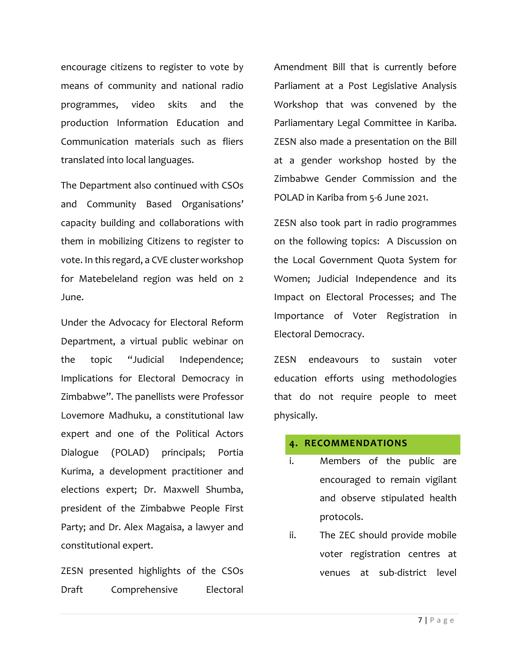encourage citizens to register to vote by means of community and national radio programmes, video skits and the production Information Education and Communication materials such as fliers translated into local languages.

The Department also continued with CSOs and Community Based Organisations' capacity building and collaborations with them in mobilizing Citizens to register to vote. In this regard, a CVE cluster workshop for Matebeleland region was held on 2 June.

Under the Advocacy for Electoral Reform Department, a virtual public webinar on the topic "Judicial Independence; Implications for Electoral Democracy in Zimbabwe". The panellists were Professor Lovemore Madhuku, a constitutional law expert and one of the Political Actors Dialogue (POLAD) principals; Portia Kurima, a development practitioner and elections expert; Dr. Maxwell Shumba, president of the Zimbabwe People First Party; and Dr. Alex Magaisa, a lawyer and constitutional expert.

ZESN presented highlights of the CSOs Draft Comprehensive Electoral Amendment Bill that is currently before Parliament at a Post Legislative Analysis Workshop that was convened by the Parliamentary Legal Committee in Kariba. ZESN also made a presentation on the Bill at a gender workshop hosted by the Zimbabwe Gender Commission and the POLAD in Kariba from 5-6 June 2021.

ZESN also took part in radio programmes on the following topics: A Discussion on the Local Government Quota System for Women; Judicial Independence and its Impact on Electoral Processes; and The Importance of Voter Registration in Electoral Democracy.

ZESN endeavours to sustain voter education efforts using methodologies that do not require people to meet physically.

#### **4. RECOMMENDATIONS**

- i. Members of the public are encouraged to remain vigilant and observe stipulated health protocols.
- ii. The ZEC should provide mobile voter registration centres at venues at sub-district level